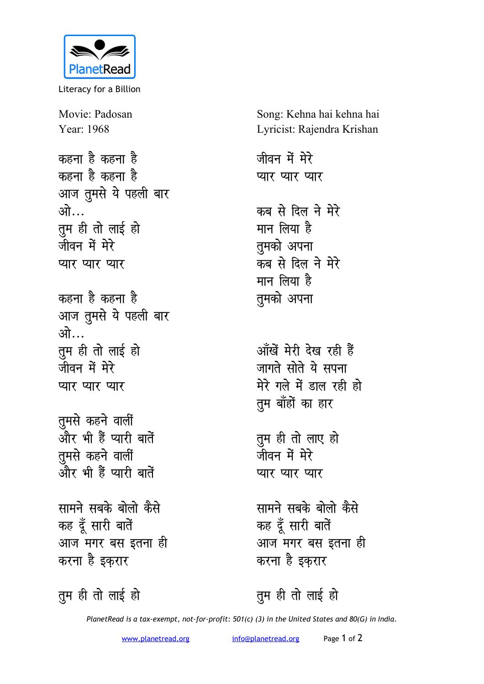

Literacy for a Billion

Movie: Padosan Year: 1968

<u>कहना है कहना है</u> कहना है कहना है आज तुमसे ये पहली बार <u>ओ</u>… <u>तू</u>म ही तो लाई हो जीवन में मेरे **प्यार प्यार** प्यार

कहना है कहना है आज तुमसे ये पहली बार <u>*w* भी ज</u> <u>तू</u>म ही तो लाई हो <u>जीवन में मेरे</u> **प्यार प्यार** 

**तूमसे** कहने वालीं <u>और भी हैं प्यारी बातें</u> **तुमसे** कहने वालीं ्<br>और भी हैं प्यारी बातें

**सामने सबके बोलो कैसे** कह दूँ सारी बातें <u>आज मगर बस इतना ही</u> करना है इक<mark>ृ</mark>रार

तुम ही तो लाई हो

Song: Kehna hai kehna hai Lyricist: Rajendra Krishan

जीवन में मेरे **प्यार प्यार** कब से दिल ने मेरे मान लिया है **तुमको** अपना कब से दिल ने मेरे मान लिया है **तुमको** अपना

<u>आँखें मेरी देख रही हैं</u> जागते सोते ये सपना मेरे गले में डाल रही ह<del>ो</del> <u>तू</u>म बाँहों का हार

<u>तू</u>म ही तो लाए हो जीवन में मेरे **प्यार प्यार** 

**सामने सबके बोलो कैसे** कह दूँ सारी बातें आज मगर बस इतना ह<u>ी</u> करना है इकरार

तुम ही तो लाई हो

*PlanetRead is a tax-exempt, not-for-profit: 501(c) (3) in the United States and 80(G) in India.*